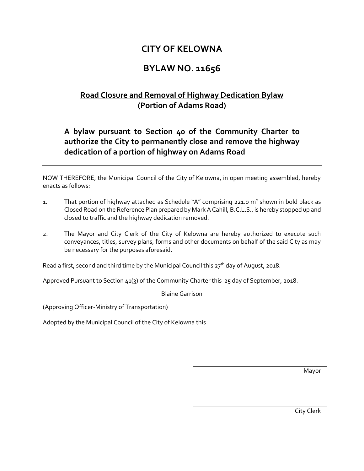## **CITY OF KELOWNA**

## **BYLAW NO. 11656**

## **Road Closure and Removal of Highway Dedication Bylaw (Portion of Adams Road)**

## **A bylaw pursuant to Section 40 of the Community Charter to authorize the City to permanently close and remove the highway dedication of a portion of highway on Adams Road**

NOW THEREFORE, the Municipal Council of the City of Kelowna, in open meeting assembled, hereby enacts as follows:

- 1. That portion of highway attached as Schedule "A" comprising 221.0  $m^2$  shown in bold black as Closed Road on the Reference Plan prepared by Mark A Cahill, B.C.L.S., is hereby stopped up and closed to traffic and the highway dedication removed.
- 2. The Mayor and City Clerk of the City of Kelowna are hereby authorized to execute such conveyances, titles, survey plans, forms and other documents on behalf of the said City as may be necessary for the purposes aforesaid.

Read a first, second and third time by the Municipal Council this  $27<sup>th</sup>$  day of August, 2018.

Approved Pursuant to Section 41(3) of the Community Charter this 25 day of September, 2018.

Blaine Garrison

\_\_\_\_\_\_\_\_\_\_\_\_\_\_\_\_\_\_\_\_\_\_\_\_\_\_\_\_\_\_\_\_\_\_\_\_\_\_\_\_\_\_\_\_\_\_\_\_\_\_\_\_\_\_\_\_\_\_\_\_\_\_\_\_\_\_\_\_\_\_\_\_\_\_\_\_ (Approving Officer-Ministry of Transportation)

Adopted by the Municipal Council of the City of Kelowna this

Mayor

City Clerk